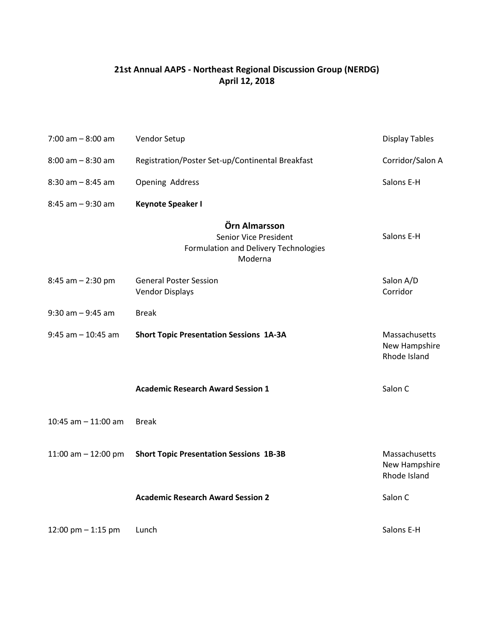### **21st Annual AAPS - Northeast Regional Discussion Group (NERDG) April 12, 2018**

| $7:00$ am $-8:00$ am  | Vendor Setup                                                                               | <b>Display Tables</b>                          |
|-----------------------|--------------------------------------------------------------------------------------------|------------------------------------------------|
| $8:00$ am $-8:30$ am  | Registration/Poster Set-up/Continental Breakfast                                           | Corridor/Salon A                               |
| $8:30$ am $-8:45$ am  | Opening Address                                                                            | Salons E-H                                     |
| $8:45$ am $-9:30$ am  | <b>Keynote Speaker I</b>                                                                   |                                                |
|                       | Örn Almarsson<br>Senior Vice President<br>Formulation and Delivery Technologies<br>Moderna | Salons E-H                                     |
| $8:45$ am $- 2:30$ pm | <b>General Poster Session</b><br><b>Vendor Displays</b>                                    | Salon A/D<br>Corridor                          |
| $9:30$ am $-9:45$ am  | <b>Break</b>                                                                               |                                                |
| $9:45$ am $-10:45$ am | <b>Short Topic Presentation Sessions 1A-3A</b>                                             | Massachusetts<br>New Hampshire<br>Rhode Island |
|                       | <b>Academic Research Award Session 1</b>                                                   | Salon C                                        |
| 10:45 am $-$ 11:00 am | <b>Break</b>                                                                               |                                                |
| 11:00 am $-$ 12:00 pm | <b>Short Topic Presentation Sessions 1B-3B</b>                                             | Massachusetts<br>New Hampshire<br>Rhode Island |
|                       | <b>Academic Research Award Session 2</b>                                                   | Salon C                                        |
| 12:00 pm $-$ 1:15 pm  | Lunch                                                                                      | Salons E-H                                     |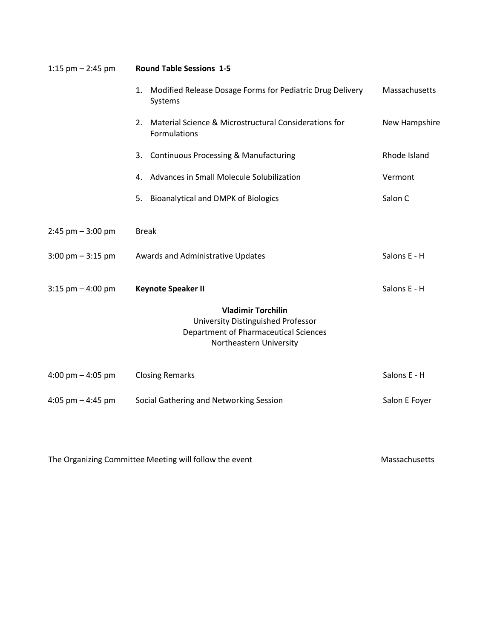| 1:15 pm $-$ 2:45 pm                 | <b>Round Table Sessions 1-5</b>                                                                                                                   |               |  |  |
|-------------------------------------|---------------------------------------------------------------------------------------------------------------------------------------------------|---------------|--|--|
|                                     | 1. Modified Release Dosage Forms for Pediatric Drug Delivery<br>Systems                                                                           | Massachusetts |  |  |
|                                     | 2. Material Science & Microstructural Considerations for<br>Formulations                                                                          | New Hampshire |  |  |
|                                     | 3. Continuous Processing & Manufacturing                                                                                                          | Rhode Island  |  |  |
|                                     | 4. Advances in Small Molecule Solubilization                                                                                                      | Vermont       |  |  |
|                                     | <b>Bioanalytical and DMPK of Biologics</b><br>5.                                                                                                  | Salon C       |  |  |
| $2:45$ pm $-3:00$ pm                | <b>Break</b>                                                                                                                                      |               |  |  |
| $3:00 \text{ pm} - 3:15 \text{ pm}$ | Awards and Administrative Updates                                                                                                                 | Salons E - H  |  |  |
| $3:15$ pm $-4:00$ pm                | <b>Keynote Speaker II</b>                                                                                                                         | Salons E - H  |  |  |
|                                     | <b>Vladimir Torchilin</b><br><b>University Distinguished Professor</b><br><b>Department of Pharmaceutical Sciences</b><br>Northeastern University |               |  |  |
| 4:00 pm $-$ 4:05 pm                 | <b>Closing Remarks</b>                                                                                                                            | Salons E - H  |  |  |
| 4:05 pm $-$ 4:45 pm                 | Social Gathering and Networking Session                                                                                                           | Salon E Foyer |  |  |
|                                     |                                                                                                                                                   |               |  |  |

The Organizing Committee Meeting will follow the event Massachusetts Massachusetts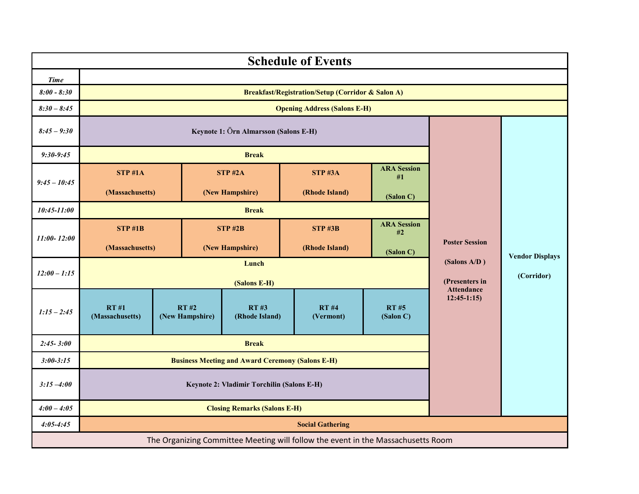|                 |                                                         |                         |  |                               | <b>Schedule of Events</b>                                                        |                          |                                   |                        |
|-----------------|---------------------------------------------------------|-------------------------|--|-------------------------------|----------------------------------------------------------------------------------|--------------------------|-----------------------------------|------------------------|
| <b>Time</b>     |                                                         |                         |  |                               |                                                                                  |                          |                                   |                        |
| $8:00 - 8:30$   |                                                         |                         |  |                               | <b>Breakfast/Registration/Setup (Corridor &amp; Salon A)</b>                     |                          |                                   |                        |
| $8:30 - 8:45$   |                                                         |                         |  |                               | <b>Opening Address (Salons E-H)</b>                                              |                          |                                   |                        |
| $8:45 - 9:30$   | Keynote 1: Örn Almarsson (Salons E-H)                   |                         |  |                               |                                                                                  |                          |                                   |                        |
| $9:30-9:45$     |                                                         |                         |  | <b>Break</b>                  |                                                                                  |                          |                                   |                        |
| $9:45 - 10:45$  | $STP$ #1A                                               |                         |  | $STP$ #2A                     | $STP$ #3A                                                                        | <b>ARA Session</b><br>#1 |                                   |                        |
|                 | (Massachusetts)                                         |                         |  | (New Hampshire)               | (Rhode Island)                                                                   | (Salon C)                |                                   |                        |
| 10:45-11:00     | <b>Break</b>                                            |                         |  |                               |                                                                                  |                          |                                   |                        |
| $11:00 - 12:00$ | <b>STP #1B</b>                                          |                         |  | <b>STP #2B</b>                | <b>STP #3B</b>                                                                   | <b>ARA Session</b><br>#2 |                                   |                        |
|                 | (Massachusetts)                                         |                         |  | (New Hampshire)               | (Rhode Island)                                                                   | (Salon C)                | <b>Poster Session</b>             | <b>Vendor Displays</b> |
| $12:00 - 1:15$  | Lunch<br>(Salons E-H)                                   |                         |  |                               | (Salons A/D)<br>(Presenters in                                                   | (Corridor)               |                                   |                        |
| $1:15 - 2:45$   | <b>RT#1</b><br>(Massachusetts)                          | RT#2<br>(New Hampshire) |  | <b>RT#3</b><br>(Rhode Island) | <b>RT#4</b><br>(Vermont)                                                         | <b>RT#5</b><br>(Salon C) | <b>Attendance</b><br>$12:45-1:15$ |                        |
| $2:45 - 3:00$   | <b>Break</b>                                            |                         |  |                               |                                                                                  |                          |                                   |                        |
| $3:00 - 3:15$   | <b>Business Meeting and Award Ceremony (Salons E-H)</b> |                         |  |                               |                                                                                  |                          |                                   |                        |
| $3:15 - 4:00$   | Keynote 2: Vladimir Torchilin (Salons E-H)              |                         |  |                               |                                                                                  |                          |                                   |                        |
| $4:00 - 4:05$   | <b>Closing Remarks (Salons E-H)</b>                     |                         |  |                               |                                                                                  |                          |                                   |                        |
| $4:05 - 4:45$   | <b>Social Gathering</b>                                 |                         |  |                               |                                                                                  |                          |                                   |                        |
|                 |                                                         |                         |  |                               | The Organizing Committee Meeting will follow the event in the Massachusetts Room |                          |                                   |                        |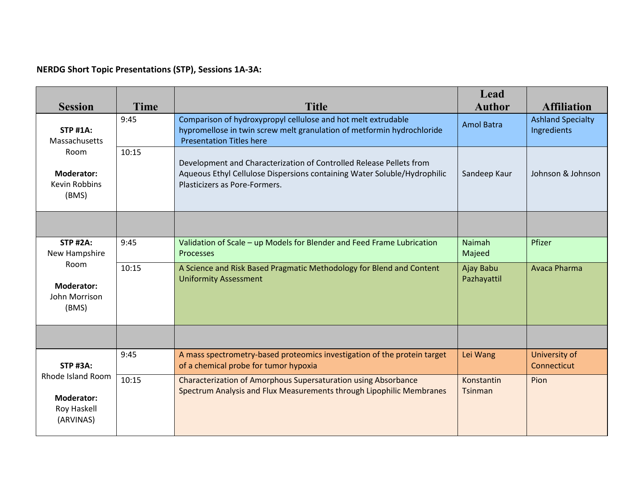## **NERDG Short Topic Presentations (STP), Sessions 1A-3A:**

| <b>Session</b>                                                     | <b>Time</b> | <b>Title</b>                                                                                                                                                                     | Lead<br><b>Author</b>        | <b>Affiliation</b>                      |
|--------------------------------------------------------------------|-------------|----------------------------------------------------------------------------------------------------------------------------------------------------------------------------------|------------------------------|-----------------------------------------|
| <b>STP #1A:</b><br>Massachusetts                                   | 9:45        | Comparison of hydroxypropyl cellulose and hot melt extrudable<br>hypromellose in twin screw melt granulation of metformin hydrochloride<br><b>Presentation Titles here</b>       | <b>Amol Batra</b>            | <b>Ashland Specialty</b><br>Ingredients |
| Room<br>10:15<br>Moderator:<br><b>Kevin Robbins</b><br>(BMS)       |             | Development and Characterization of Controlled Release Pellets from<br>Aqueous Ethyl Cellulose Dispersions containing Water Soluble/Hydrophilic<br>Plasticizers as Pore-Formers. | Sandeep Kaur                 | Johnson & Johnson                       |
|                                                                    |             |                                                                                                                                                                                  |                              |                                         |
| <b>STP #2A:</b><br>New Hampshire                                   | 9:45        | Validation of Scale - up Models for Blender and Feed Frame Lubrication<br>Processes                                                                                              | <b>Naimah</b><br>Majeed      | Pfizer                                  |
| Room<br><b>Moderator:</b><br>John Morrison<br>(BMS)                | 10:15       | A Science and Risk Based Pragmatic Methodology for Blend and Content<br><b>Uniformity Assessment</b>                                                                             | Ajay Babu<br>Pazhayattil     | Avaca Pharma                            |
|                                                                    |             |                                                                                                                                                                                  |                              |                                         |
| <b>STP #3A:</b>                                                    | 9:45        | A mass spectrometry-based proteomics investigation of the protein target<br>of a chemical probe for tumor hypoxia                                                                | Lei Wang                     | University of<br>Connecticut            |
| Rhode Island Room<br><b>Moderator:</b><br>Roy Haskell<br>(ARVINAS) | 10:15       | <b>Characterization of Amorphous Supersaturation using Absorbance</b><br>Spectrum Analysis and Flux Measurements through Lipophilic Membranes                                    | Konstantin<br><b>Tsinman</b> | Pion                                    |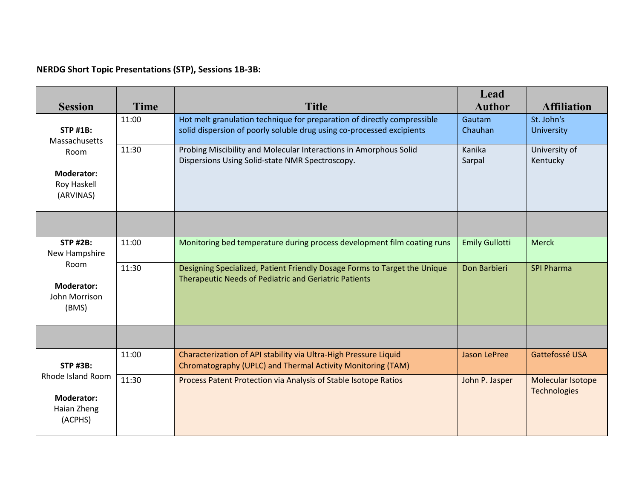## **NERDG Short Topic Presentations (STP), Sessions 1B-3B:**

| <b>Session</b>                                                   | <b>Time</b> | <b>Title</b>                                                                                                                                     | Lead<br><b>Author</b> | <b>Affiliation</b>                |
|------------------------------------------------------------------|-------------|--------------------------------------------------------------------------------------------------------------------------------------------------|-----------------------|-----------------------------------|
| <b>STP #1B:</b><br>Massachusetts                                 | 11:00       | Hot melt granulation technique for preparation of directly compressible<br>solid dispersion of poorly soluble drug using co-processed excipients | Gautam<br>Chauhan     | St. John's<br>University          |
| 11:30<br>Room<br><b>Moderator:</b><br>Roy Haskell<br>(ARVINAS)   |             | Probing Miscibility and Molecular Interactions in Amorphous Solid<br>Dispersions Using Solid-state NMR Spectroscopy.                             | Kanika<br>Sarpal      | University of<br>Kentucky         |
|                                                                  |             |                                                                                                                                                  |                       |                                   |
| <b>STP #2B:</b><br>New Hampshire                                 | 11:00       | Monitoring bed temperature during process development film coating runs                                                                          | <b>Emily Gullotti</b> | <b>Merck</b>                      |
| Room<br><b>Moderator:</b><br>John Morrison<br>(BMS)              | 11:30       | Designing Specialized, Patient Friendly Dosage Forms to Target the Unique<br><b>Therapeutic Needs of Pediatric and Geriatric Patients</b>        | Don Barbieri          | <b>SPI Pharma</b>                 |
|                                                                  |             |                                                                                                                                                  |                       |                                   |
| <b>STP #3B:</b>                                                  | 11:00       | Characterization of API stability via Ultra-High Pressure Liquid<br>Chromatography (UPLC) and Thermal Activity Monitoring (TAM)                  | <b>Jason LePree</b>   | Gattefossé USA                    |
| Rhode Island Room<br><b>Moderator:</b><br>Haian Zheng<br>(ACPHS) | 11:30       | Process Patent Protection via Analysis of Stable Isotope Ratios                                                                                  | John P. Jasper        | Molecular Isotope<br>Technologies |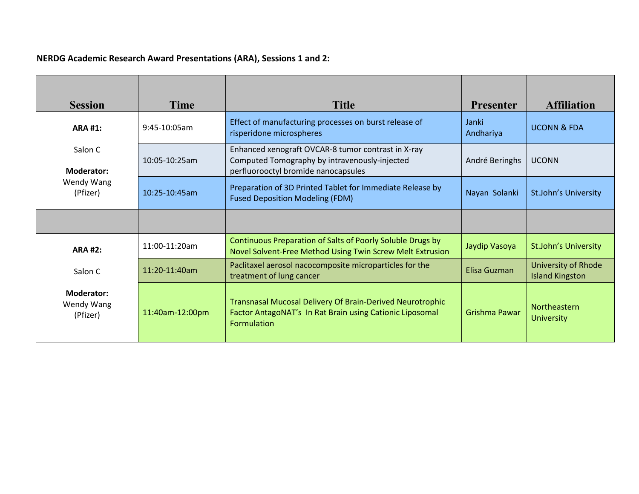# **NERDG Academic Research Award Presentations (ARA), Sessions 1 and 2:**

| <b>Session</b>                              | Time            | <b>Title</b>                                                                                                                                       | <b>Presenter</b>   | <b>Affiliation</b>                            |
|---------------------------------------------|-----------------|----------------------------------------------------------------------------------------------------------------------------------------------------|--------------------|-----------------------------------------------|
| <b>ARA #1:</b>                              | 9:45-10:05am    | Effect of manufacturing processes on burst release of<br>risperidone microspheres                                                                  | Janki<br>Andhariya | <b>UCONN &amp; FDA</b>                        |
| Salon C<br><b>Moderator:</b>                | 10:05-10:25am   | Enhanced xenograft OVCAR-8 tumor contrast in X-ray<br>Computed Tomography by intravenously-injected<br>perfluorooctyl bromide nanocapsules         | André Beringhs     | <b>UCONN</b>                                  |
| Wendy Wang<br>(Pfizer)                      | $10:25-10:45am$ | Preparation of 3D Printed Tablet for Immediate Release by<br><b>Fused Deposition Modeling (FDM)</b>                                                | Nayan Solanki      | St.John's University                          |
|                                             |                 |                                                                                                                                                    |                    |                                               |
| <b>ARA #2:</b>                              | $11:00-11:20am$ | Continuous Preparation of Salts of Poorly Soluble Drugs by<br>Novel Solvent-Free Method Using Twin Screw Melt Extrusion                            | Jaydip Vasoya      | St.John's University                          |
| Salon C                                     | 11:20-11:40am   | Paclitaxel aerosol nacocomposite microparticles for the<br>treatment of lung cancer                                                                | Elisa Guzman       | University of Rhode<br><b>Island Kingston</b> |
| <b>Moderator:</b><br>Wendy Wang<br>(Pfizer) | 11:40am-12:00pm | <b>Transnasal Mucosal Delivery Of Brain-Derived Neurotrophic</b><br>Factor AntagoNAT's In Rat Brain using Cationic Liposomal<br><b>Formulation</b> | Grishma Pawar      | <b>Northeastern</b><br><b>University</b>      |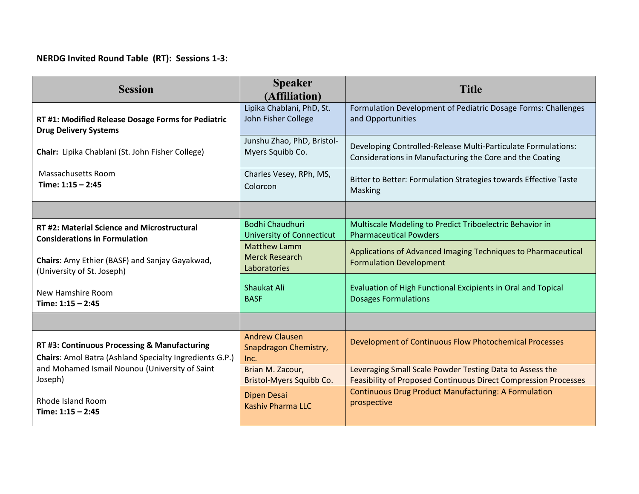## **NERDG Invited Round Table (RT): Sessions 1-3:**

| <b>Session</b>                                                                                          | <b>Speaker</b><br>(Affiliation)                              | <b>Title</b>                                                                                                              |
|---------------------------------------------------------------------------------------------------------|--------------------------------------------------------------|---------------------------------------------------------------------------------------------------------------------------|
| RT #1: Modified Release Dosage Forms for Pediatric                                                      | Lipika Chablani, PhD, St.                                    | Formulation Development of Pediatric Dosage Forms: Challenges                                                             |
| <b>Drug Delivery Systems</b>                                                                            | John Fisher College                                          | and Opportunities                                                                                                         |
| Chair: Lipika Chablani (St. John Fisher College)                                                        | Junshu Zhao, PhD, Bristol-<br>Myers Squibb Co.               | Developing Controlled-Release Multi-Particulate Formulations:<br>Considerations in Manufacturing the Core and the Coating |
| <b>Massachusetts Room</b>                                                                               | Charles Vesey, RPh, MS,                                      | Bitter to Better: Formulation Strategies towards Effective Taste                                                          |
| Time: $1:15 - 2:45$                                                                                     | Colorcon                                                     | Masking                                                                                                                   |
|                                                                                                         |                                                              |                                                                                                                           |
| RT #2: Material Science and Microstructural                                                             | <b>Bodhi Chaudhuri</b>                                       | Multiscale Modeling to Predict Triboelectric Behavior in                                                                  |
| <b>Considerations in Formulation</b>                                                                    | <b>University of Connecticut</b>                             | <b>Pharmaceutical Powders</b>                                                                                             |
| Chairs: Amy Ethier (BASF) and Sanjay Gayakwad,<br>(University of St. Joseph)                            | <b>Matthew Lamm</b><br><b>Merck Research</b><br>Laboratories | Applications of Advanced Imaging Techniques to Pharmaceutical<br><b>Formulation Development</b>                           |
| New Hamshire Room                                                                                       | Shaukat Ali                                                  | Evaluation of High Functional Excipients in Oral and Topical                                                              |
| Time: $1:15 - 2:45$                                                                                     | <b>BASF</b>                                                  | <b>Dosages Formulations</b>                                                                                               |
|                                                                                                         |                                                              |                                                                                                                           |
| RT #3: Continuous Processing & Manufacturing<br>Chairs: Amol Batra (Ashland Specialty Ingredients G.P.) | <b>Andrew Clausen</b><br>Snapdragon Chemistry,<br>Inc.       | Development of Continuous Flow Photochemical Processes                                                                    |
| and Mohamed Ismail Nounou (University of Saint                                                          | Brian M. Zacour,                                             | Leveraging Small Scale Powder Testing Data to Assess the                                                                  |
| Joseph)                                                                                                 | Bristol-Myers Squibb Co.                                     | <b>Feasibility of Proposed Continuous Direct Compression Processes</b>                                                    |
| <b>Rhode Island Room</b>                                                                                | Dipen Desai                                                  | <b>Continuous Drug Product Manufacturing: A Formulation</b>                                                               |
| Time: $1:15 - 2:45$                                                                                     | Kashiy Pharma LLC                                            | prospective                                                                                                               |